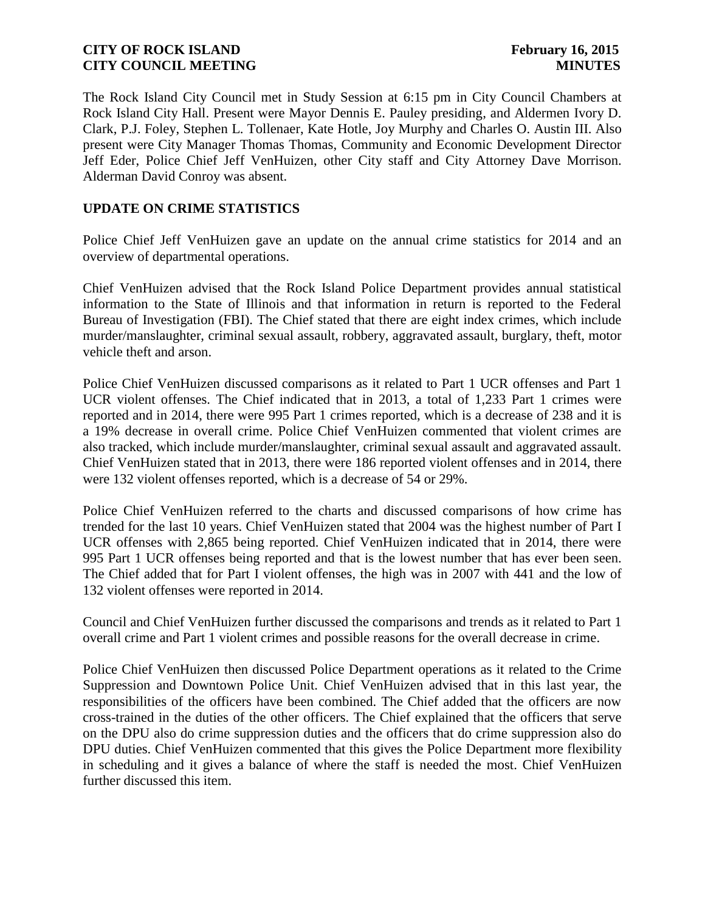The Rock Island City Council met in Study Session at 6:15 pm in City Council Chambers at Rock Island City Hall. Present were Mayor Dennis E. Pauley presiding, and Aldermen Ivory D. Clark, P.J. Foley, Stephen L. Tollenaer, Kate Hotle, Joy Murphy and Charles O. Austin III. Also present were City Manager Thomas Thomas, Community and Economic Development Director Jeff Eder, Police Chief Jeff VenHuizen, other City staff and City Attorney Dave Morrison. Alderman David Conroy was absent.

# **UPDATE ON CRIME STATISTICS**

Police Chief Jeff VenHuizen gave an update on the annual crime statistics for 2014 and an overview of departmental operations.

Chief VenHuizen advised that the Rock Island Police Department provides annual statistical information to the State of Illinois and that information in return is reported to the Federal Bureau of Investigation (FBI). The Chief stated that there are eight index crimes, which include murder/manslaughter, criminal sexual assault, robbery, aggravated assault, burglary, theft, motor vehicle theft and arson.

Police Chief VenHuizen discussed comparisons as it related to Part 1 UCR offenses and Part 1 UCR violent offenses. The Chief indicated that in 2013, a total of 1,233 Part 1 crimes were reported and in 2014, there were 995 Part 1 crimes reported, which is a decrease of 238 and it is a 19% decrease in overall crime. Police Chief VenHuizen commented that violent crimes are also tracked, which include murder/manslaughter, criminal sexual assault and aggravated assault. Chief VenHuizen stated that in 2013, there were 186 reported violent offenses and in 2014, there were 132 violent offenses reported, which is a decrease of 54 or 29%.

Police Chief VenHuizen referred to the charts and discussed comparisons of how crime has trended for the last 10 years. Chief VenHuizen stated that 2004 was the highest number of Part I UCR offenses with 2,865 being reported. Chief VenHuizen indicated that in 2014, there were 995 Part 1 UCR offenses being reported and that is the lowest number that has ever been seen. The Chief added that for Part I violent offenses, the high was in 2007 with 441 and the low of 132 violent offenses were reported in 2014.

Council and Chief VenHuizen further discussed the comparisons and trends as it related to Part 1 overall crime and Part 1 violent crimes and possible reasons for the overall decrease in crime.

Police Chief VenHuizen then discussed Police Department operations as it related to the Crime Suppression and Downtown Police Unit. Chief VenHuizen advised that in this last year, the responsibilities of the officers have been combined. The Chief added that the officers are now cross-trained in the duties of the other officers. The Chief explained that the officers that serve on the DPU also do crime suppression duties and the officers that do crime suppression also do DPU duties. Chief VenHuizen commented that this gives the Police Department more flexibility in scheduling and it gives a balance of where the staff is needed the most. Chief VenHuizen further discussed this item.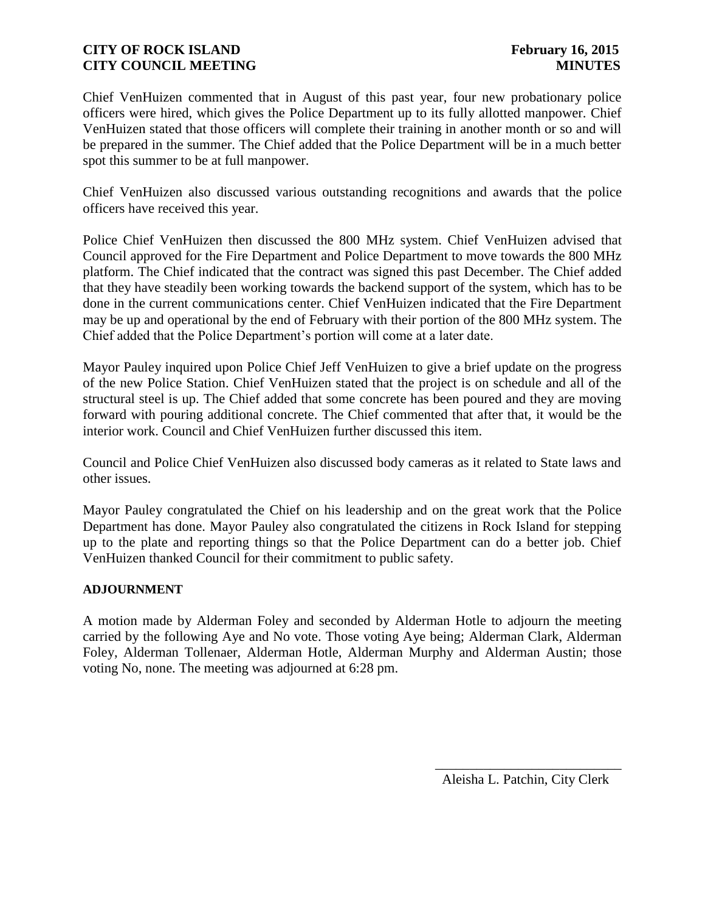Chief VenHuizen commented that in August of this past year, four new probationary police officers were hired, which gives the Police Department up to its fully allotted manpower. Chief VenHuizen stated that those officers will complete their training in another month or so and will be prepared in the summer. The Chief added that the Police Department will be in a much better spot this summer to be at full manpower.

Chief VenHuizen also discussed various outstanding recognitions and awards that the police officers have received this year.

Police Chief VenHuizen then discussed the 800 MHz system. Chief VenHuizen advised that Council approved for the Fire Department and Police Department to move towards the 800 MHz platform. The Chief indicated that the contract was signed this past December. The Chief added that they have steadily been working towards the backend support of the system, which has to be done in the current communications center. Chief VenHuizen indicated that the Fire Department may be up and operational by the end of February with their portion of the 800 MHz system. The Chief added that the Police Department's portion will come at a later date.

Mayor Pauley inquired upon Police Chief Jeff VenHuizen to give a brief update on the progress of the new Police Station. Chief VenHuizen stated that the project is on schedule and all of the structural steel is up. The Chief added that some concrete has been poured and they are moving forward with pouring additional concrete. The Chief commented that after that, it would be the interior work. Council and Chief VenHuizen further discussed this item.

Council and Police Chief VenHuizen also discussed body cameras as it related to State laws and other issues.

Mayor Pauley congratulated the Chief on his leadership and on the great work that the Police Department has done. Mayor Pauley also congratulated the citizens in Rock Island for stepping up to the plate and reporting things so that the Police Department can do a better job. Chief VenHuizen thanked Council for their commitment to public safety.

### **ADJOURNMENT**

A motion made by Alderman Foley and seconded by Alderman Hotle to adjourn the meeting carried by the following Aye and No vote. Those voting Aye being; Alderman Clark, Alderman Foley, Alderman Tollenaer, Alderman Hotle, Alderman Murphy and Alderman Austin; those voting No, none. The meeting was adjourned at 6:28 pm.

Aleisha L. Patchin, City Clerk

 $\frac{1}{\sqrt{2}}$  ,  $\frac{1}{\sqrt{2}}$  ,  $\frac{1}{\sqrt{2}}$  ,  $\frac{1}{\sqrt{2}}$  ,  $\frac{1}{\sqrt{2}}$  ,  $\frac{1}{\sqrt{2}}$  ,  $\frac{1}{\sqrt{2}}$  ,  $\frac{1}{\sqrt{2}}$  ,  $\frac{1}{\sqrt{2}}$  ,  $\frac{1}{\sqrt{2}}$  ,  $\frac{1}{\sqrt{2}}$  ,  $\frac{1}{\sqrt{2}}$  ,  $\frac{1}{\sqrt{2}}$  ,  $\frac{1}{\sqrt{2}}$  ,  $\frac{1}{\sqrt{2}}$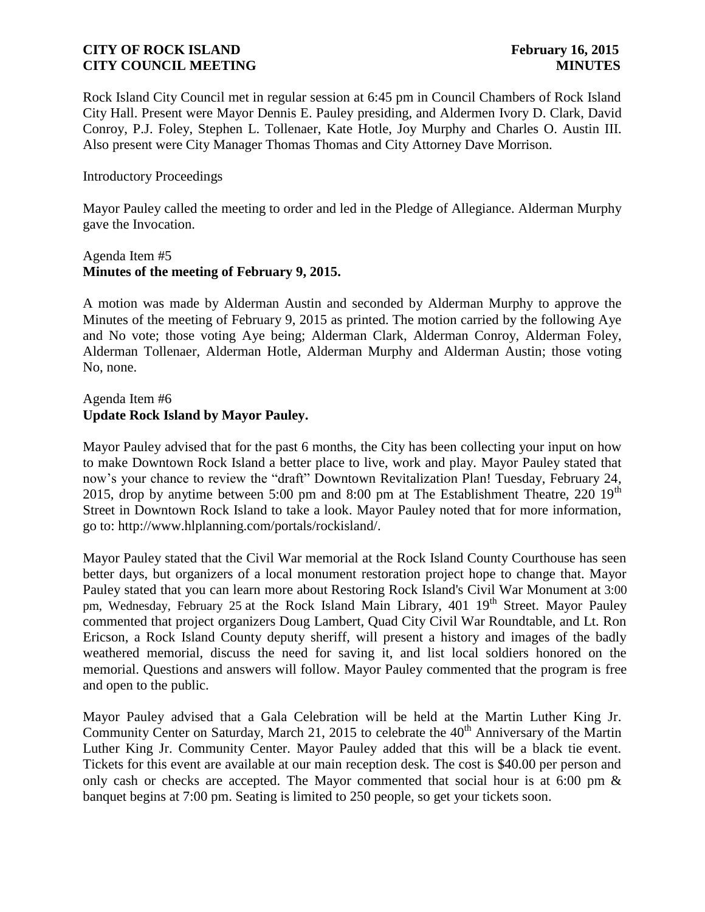Rock Island City Council met in regular session at 6:45 pm in Council Chambers of Rock Island City Hall. Present were Mayor Dennis E. Pauley presiding, and Aldermen Ivory D. Clark, David Conroy, P.J. Foley, Stephen L. Tollenaer, Kate Hotle, Joy Murphy and Charles O. Austin III. Also present were City Manager Thomas Thomas and City Attorney Dave Morrison.

# Introductory Proceedings

Mayor Pauley called the meeting to order and led in the Pledge of Allegiance. Alderman Murphy gave the Invocation.

### Agenda Item #5 **Minutes of the meeting of February 9, 2015.**

A motion was made by Alderman Austin and seconded by Alderman Murphy to approve the Minutes of the meeting of February 9, 2015 as printed. The motion carried by the following Aye and No vote; those voting Aye being; Alderman Clark, Alderman Conroy, Alderman Foley, Alderman Tollenaer, Alderman Hotle, Alderman Murphy and Alderman Austin; those voting No, none.

# Agenda Item #6 **Update Rock Island by Mayor Pauley.**

Mayor Pauley advised that for the past 6 months, the City has been collecting your input on how to make Downtown Rock Island a better place to live, work and play. Mayor Pauley stated that now's your chance to review the "draft" Downtown Revitalization Plan! Tuesday, February 24, 2015, drop by anytime between 5:00 pm and 8:00 pm at The Establishment Theatre, 220  $19<sup>th</sup>$ Street in Downtown Rock Island to take a look. Mayor Pauley noted that for more information, go to: http://www.hlplanning.com/portals/rockisland/.

Mayor Pauley stated that the Civil War memorial at the Rock Island County Courthouse has seen better days, but organizers of a local monument restoration project hope to change that. Mayor Pauley stated that you can learn more about Restoring Rock Island's Civil War Monument at 3:00 pm, Wednesday, February 25 at the Rock Island Main Library, 401 19<sup>th</sup> Street. Mayor Pauley commented that project organizers Doug Lambert, Quad City Civil War Roundtable, and Lt. Ron Ericson, a Rock Island County deputy sheriff, will present a history and images of the badly weathered memorial, discuss the need for saving it, and list local soldiers honored on the memorial. Questions and answers will follow. Mayor Pauley commented that the program is free and open to the public.

Mayor Pauley advised that a Gala Celebration will be held at the Martin Luther King Jr. Community Center on Saturday, March 21, 2015 to celebrate the 40<sup>th</sup> Anniversary of the Martin Luther King Jr. Community Center. Mayor Pauley added that this will be a black tie event. Tickets for this event are available at our main reception desk. The cost is \$40.00 per person and only cash or checks are accepted. The Mayor commented that social hour is at 6:00 pm  $\&$ banquet begins at 7:00 pm. Seating is limited to 250 people, so get your tickets soon.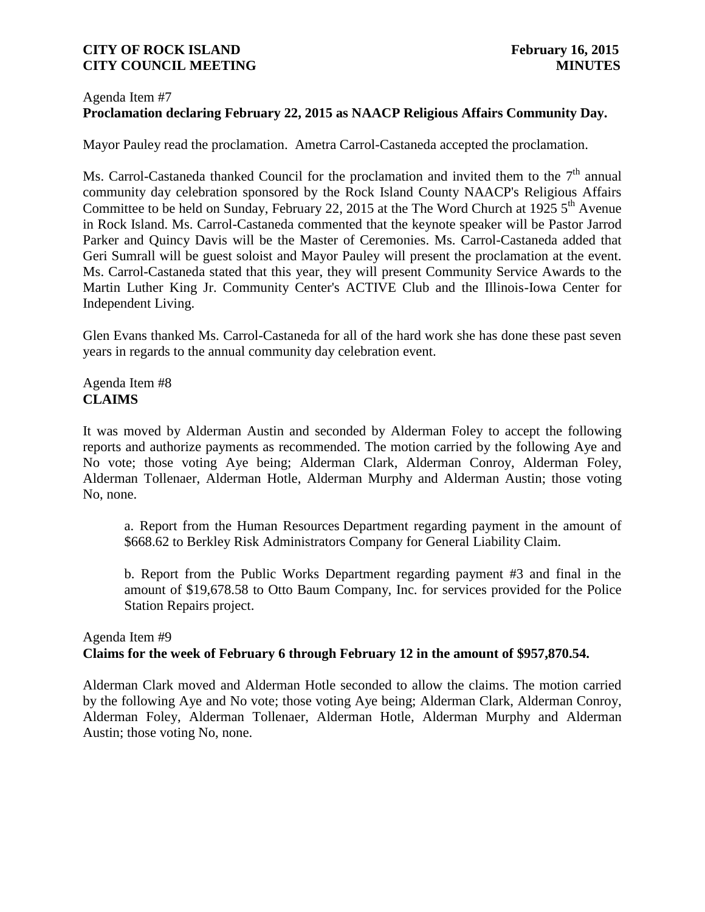### Agenda Item #7 **Proclamation declaring February 22, 2015 as NAACP Religious Affairs Community Day.**

Mayor Pauley read the proclamation. Ametra Carrol-Castaneda accepted the proclamation.

Ms. Carrol-Castaneda thanked Council for the proclamation and invited them to the  $7<sup>th</sup>$  annual community day celebration sponsored by the Rock Island County NAACP's Religious Affairs Committee to be held on Sunday, February 22, 2015 at the The Word Church at 1925  $5<sup>th</sup>$  Avenue in Rock Island. Ms. Carrol-Castaneda commented that the keynote speaker will be Pastor Jarrod Parker and Quincy Davis will be the Master of Ceremonies. Ms. Carrol-Castaneda added that Geri Sumrall will be guest soloist and Mayor Pauley will present the proclamation at the event. Ms. Carrol-Castaneda stated that this year, they will present Community Service Awards to the Martin Luther King Jr. Community Center's ACTIVE Club and the Illinois-Iowa Center for Independent Living.

Glen Evans thanked Ms. Carrol-Castaneda for all of the hard work she has done these past seven years in regards to the annual community day celebration event.

Agenda Item #8 **CLAIMS**

It was moved by Alderman Austin and seconded by Alderman Foley to accept the following reports and authorize payments as recommended. The motion carried by the following Aye and No vote; those voting Aye being; Alderman Clark, Alderman Conroy, Alderman Foley, Alderman Tollenaer, Alderman Hotle, Alderman Murphy and Alderman Austin; those voting No, none.

a. Report from the Human Resources Department regarding payment in the amount of \$668.62 to Berkley Risk Administrators Company for General Liability Claim.

b. Report from the Public Works Department regarding payment #3 and final in the amount of \$19,678.58 to Otto Baum Company, Inc. for services provided for the Police Station Repairs project.

# Agenda Item #9 **Claims for the week of February 6 through February 12 in the amount of \$957,870.54.**

Alderman Clark moved and Alderman Hotle seconded to allow the claims. The motion carried by the following Aye and No vote; those voting Aye being; Alderman Clark, Alderman Conroy, Alderman Foley, Alderman Tollenaer, Alderman Hotle, Alderman Murphy and Alderman Austin; those voting No, none.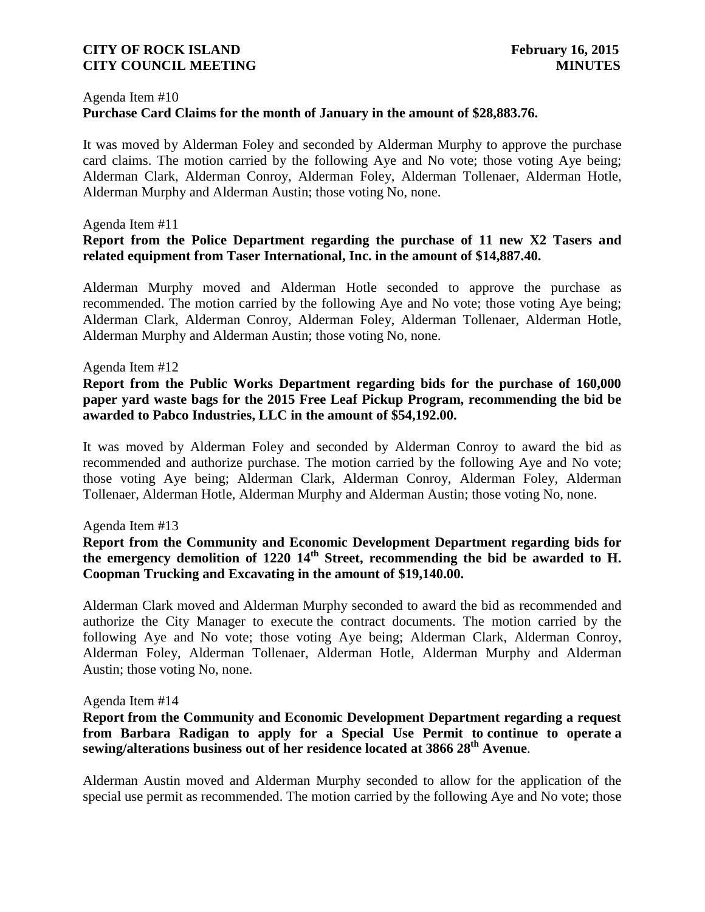#### Agenda Item #10

# **Purchase Card Claims for the month of January in the amount of \$28,883.76.**

It was moved by Alderman Foley and seconded by Alderman Murphy to approve the purchase card claims. The motion carried by the following Aye and No vote; those voting Aye being; Alderman Clark, Alderman Conroy, Alderman Foley, Alderman Tollenaer, Alderman Hotle, Alderman Murphy and Alderman Austin; those voting No, none.

#### Agenda Item #11

# **Report from the Police Department regarding the purchase of 11 new X2 Tasers and related equipment from Taser International, Inc. in the amount of \$14,887.40.**

Alderman Murphy moved and Alderman Hotle seconded to approve the purchase as recommended. The motion carried by the following Aye and No vote; those voting Aye being; Alderman Clark, Alderman Conroy, Alderman Foley, Alderman Tollenaer, Alderman Hotle, Alderman Murphy and Alderman Austin; those voting No, none.

#### Agenda Item #12

# **Report from the Public Works Department regarding bids for the purchase of 160,000 paper yard waste bags for the 2015 Free Leaf Pickup Program, recommending the bid be awarded to Pabco Industries, LLC in the amount of \$54,192.00.**

It was moved by Alderman Foley and seconded by Alderman Conroy to award the bid as recommended and authorize purchase. The motion carried by the following Aye and No vote; those voting Aye being; Alderman Clark, Alderman Conroy, Alderman Foley, Alderman Tollenaer, Alderman Hotle, Alderman Murphy and Alderman Austin; those voting No, none.

#### Agenda Item #13

# **Report from the Community and Economic Development Department regarding bids for the emergency demolition of 1220 14th Street, recommending the bid be awarded to H. Coopman Trucking and Excavating in the amount of \$19,140.00.**

Alderman Clark moved and Alderman Murphy seconded to award the bid as recommended and authorize the City Manager to execute the contract documents. The motion carried by the following Aye and No vote; those voting Aye being; Alderman Clark, Alderman Conroy, Alderman Foley, Alderman Tollenaer, Alderman Hotle, Alderman Murphy and Alderman Austin; those voting No, none.

#### Agenda Item #14

# **Report from the Community and Economic Development Department regarding a request from Barbara Radigan to apply for a Special Use Permit to continue to operate a sewing/alterations business out of her residence located at 3866 28th Avenue**.

Alderman Austin moved and Alderman Murphy seconded to allow for the application of the special use permit as recommended. The motion carried by the following Aye and No vote; those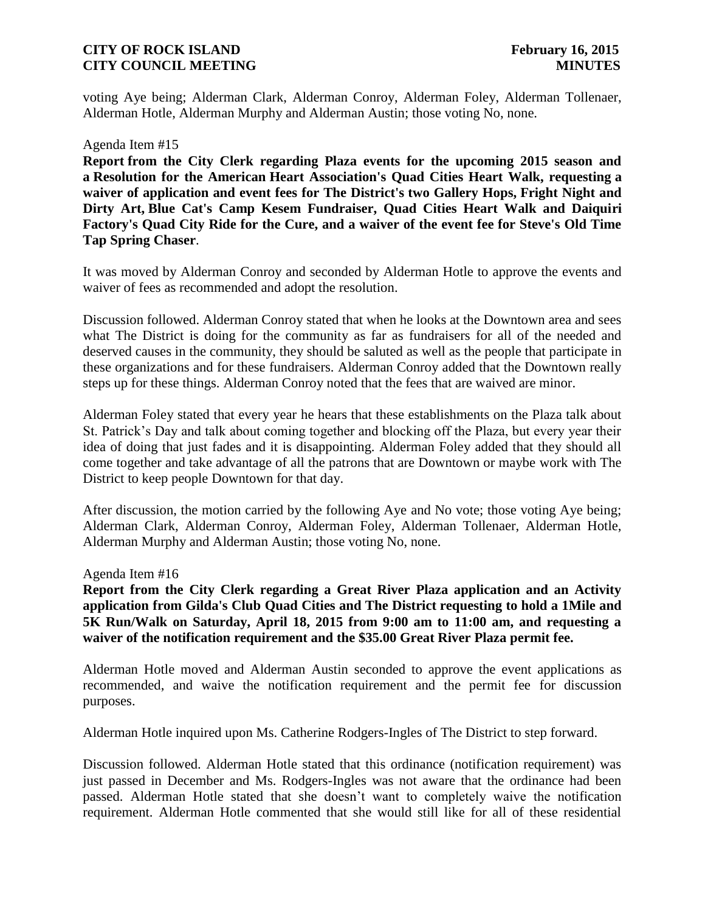voting Aye being; Alderman Clark, Alderman Conroy, Alderman Foley, Alderman Tollenaer, Alderman Hotle, Alderman Murphy and Alderman Austin; those voting No, none.

#### Agenda Item #15

**Report from the City Clerk regarding Plaza events for the upcoming 2015 season and a Resolution for the American Heart Association's Quad Cities Heart Walk, requesting a waiver of application and event fees for The District's two Gallery Hops, Fright Night and Dirty Art, Blue Cat's Camp Kesem Fundraiser, Quad Cities Heart Walk and Daiquiri Factory's Quad City Ride for the Cure, and a waiver of the event fee for Steve's Old Time Tap Spring Chaser**.

It was moved by Alderman Conroy and seconded by Alderman Hotle to approve the events and waiver of fees as recommended and adopt the resolution.

Discussion followed. Alderman Conroy stated that when he looks at the Downtown area and sees what The District is doing for the community as far as fundraisers for all of the needed and deserved causes in the community, they should be saluted as well as the people that participate in these organizations and for these fundraisers. Alderman Conroy added that the Downtown really steps up for these things. Alderman Conroy noted that the fees that are waived are minor.

Alderman Foley stated that every year he hears that these establishments on the Plaza talk about St. Patrick's Day and talk about coming together and blocking off the Plaza, but every year their idea of doing that just fades and it is disappointing. Alderman Foley added that they should all come together and take advantage of all the patrons that are Downtown or maybe work with The District to keep people Downtown for that day.

After discussion, the motion carried by the following Aye and No vote; those voting Aye being; Alderman Clark, Alderman Conroy, Alderman Foley, Alderman Tollenaer, Alderman Hotle, Alderman Murphy and Alderman Austin; those voting No, none.

#### Agenda Item #16

**Report from the City Clerk regarding a Great River Plaza application and an Activity application from Gilda's Club Quad Cities and The District requesting to hold a 1Mile and 5K Run/Walk on Saturday, April 18, 2015 from 9:00 am to 11:00 am, and requesting a waiver of the notification requirement and the \$35.00 Great River Plaza permit fee.**

Alderman Hotle moved and Alderman Austin seconded to approve the event applications as recommended, and waive the notification requirement and the permit fee for discussion purposes.

Alderman Hotle inquired upon Ms. Catherine Rodgers-Ingles of The District to step forward.

Discussion followed. Alderman Hotle stated that this ordinance (notification requirement) was just passed in December and Ms. Rodgers-Ingles was not aware that the ordinance had been passed. Alderman Hotle stated that she doesn't want to completely waive the notification requirement. Alderman Hotle commented that she would still like for all of these residential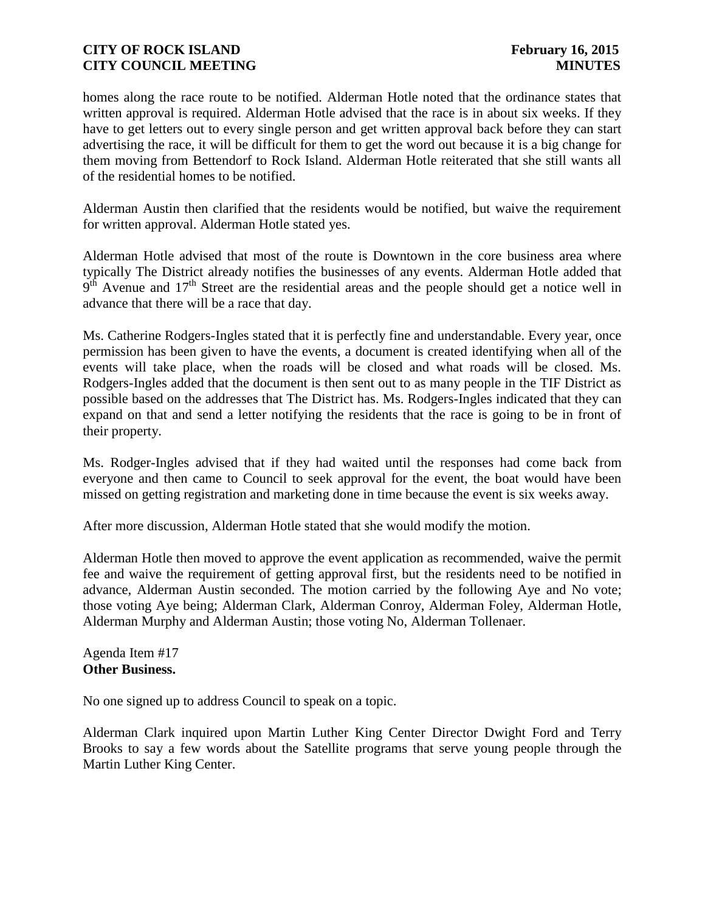homes along the race route to be notified. Alderman Hotle noted that the ordinance states that written approval is required. Alderman Hotle advised that the race is in about six weeks. If they have to get letters out to every single person and get written approval back before they can start advertising the race, it will be difficult for them to get the word out because it is a big change for them moving from Bettendorf to Rock Island. Alderman Hotle reiterated that she still wants all of the residential homes to be notified.

Alderman Austin then clarified that the residents would be notified, but waive the requirement for written approval. Alderman Hotle stated yes.

Alderman Hotle advised that most of the route is Downtown in the core business area where typically The District already notifies the businesses of any events. Alderman Hotle added that  $9<sup>th</sup>$  Avenue and  $17<sup>th</sup>$  Street are the residential areas and the people should get a notice well in advance that there will be a race that day.

Ms. Catherine Rodgers-Ingles stated that it is perfectly fine and understandable. Every year, once permission has been given to have the events, a document is created identifying when all of the events will take place, when the roads will be closed and what roads will be closed. Ms. Rodgers-Ingles added that the document is then sent out to as many people in the TIF District as possible based on the addresses that The District has. Ms. Rodgers-Ingles indicated that they can expand on that and send a letter notifying the residents that the race is going to be in front of their property.

Ms. Rodger-Ingles advised that if they had waited until the responses had come back from everyone and then came to Council to seek approval for the event, the boat would have been missed on getting registration and marketing done in time because the event is six weeks away.

After more discussion, Alderman Hotle stated that she would modify the motion.

Alderman Hotle then moved to approve the event application as recommended, waive the permit fee and waive the requirement of getting approval first, but the residents need to be notified in advance, Alderman Austin seconded. The motion carried by the following Aye and No vote; those voting Aye being; Alderman Clark, Alderman Conroy, Alderman Foley, Alderman Hotle, Alderman Murphy and Alderman Austin; those voting No, Alderman Tollenaer.

Agenda Item #17 **Other Business.**

No one signed up to address Council to speak on a topic.

Alderman Clark inquired upon Martin Luther King Center Director Dwight Ford and Terry Brooks to say a few words about the Satellite programs that serve young people through the Martin Luther King Center.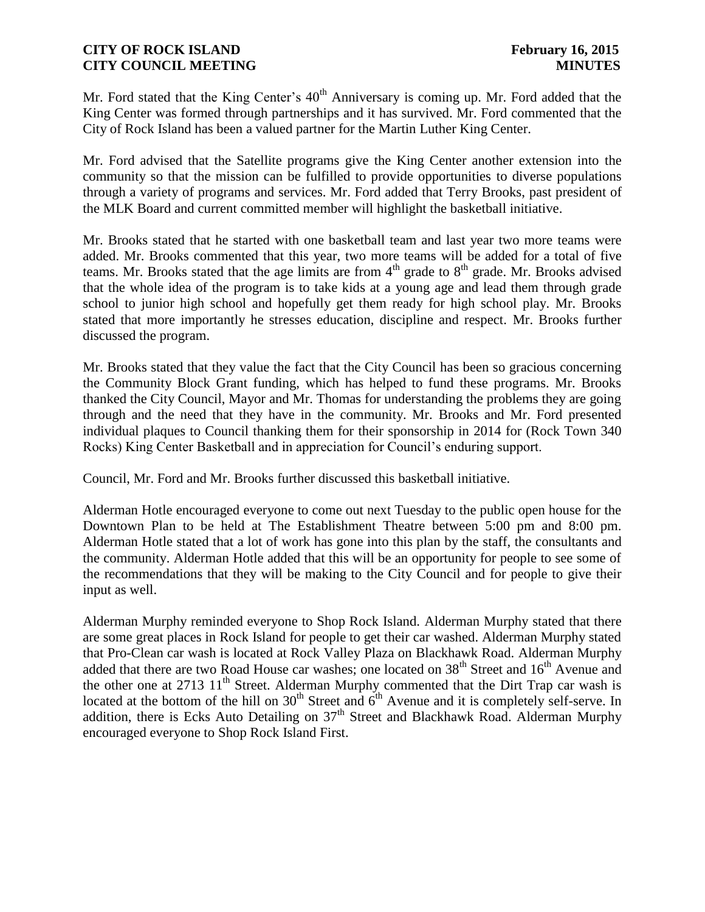Mr. Ford stated that the King Center's  $40<sup>th</sup>$  Anniversary is coming up. Mr. Ford added that the King Center was formed through partnerships and it has survived. Mr. Ford commented that the City of Rock Island has been a valued partner for the Martin Luther King Center.

Mr. Ford advised that the Satellite programs give the King Center another extension into the community so that the mission can be fulfilled to provide opportunities to diverse populations through a variety of programs and services. Mr. Ford added that Terry Brooks, past president of the MLK Board and current committed member will highlight the basketball initiative.

Mr. Brooks stated that he started with one basketball team and last year two more teams were added. Mr. Brooks commented that this year, two more teams will be added for a total of five teams. Mr. Brooks stated that the age limits are from  $4<sup>th</sup>$  grade to  $8<sup>th</sup>$  grade. Mr. Brooks advised that the whole idea of the program is to take kids at a young age and lead them through grade school to junior high school and hopefully get them ready for high school play. Mr. Brooks stated that more importantly he stresses education, discipline and respect. Mr. Brooks further discussed the program.

Mr. Brooks stated that they value the fact that the City Council has been so gracious concerning the Community Block Grant funding, which has helped to fund these programs. Mr. Brooks thanked the City Council, Mayor and Mr. Thomas for understanding the problems they are going through and the need that they have in the community. Mr. Brooks and Mr. Ford presented individual plaques to Council thanking them for their sponsorship in 2014 for (Rock Town 340 Rocks) King Center Basketball and in appreciation for Council's enduring support.

Council, Mr. Ford and Mr. Brooks further discussed this basketball initiative.

Alderman Hotle encouraged everyone to come out next Tuesday to the public open house for the Downtown Plan to be held at The Establishment Theatre between 5:00 pm and 8:00 pm. Alderman Hotle stated that a lot of work has gone into this plan by the staff, the consultants and the community. Alderman Hotle added that this will be an opportunity for people to see some of the recommendations that they will be making to the City Council and for people to give their input as well.

Alderman Murphy reminded everyone to Shop Rock Island. Alderman Murphy stated that there are some great places in Rock Island for people to get their car washed. Alderman Murphy stated that Pro-Clean car wash is located at Rock Valley Plaza on Blackhawk Road. Alderman Murphy added that there are two Road House car washes; one located on 38<sup>th</sup> Street and 16<sup>th</sup> Avenue and the other one at 2713  $11<sup>th</sup>$  Street. Alderman Murphy commented that the Dirt Trap car wash is located at the bottom of the hill on  $30<sup>th</sup>$  Street and  $6<sup>th</sup>$  Avenue and it is completely self-serve. In addition, there is Ecks Auto Detailing on  $37<sup>th</sup>$  Street and Blackhawk Road. Alderman Murphy encouraged everyone to Shop Rock Island First.